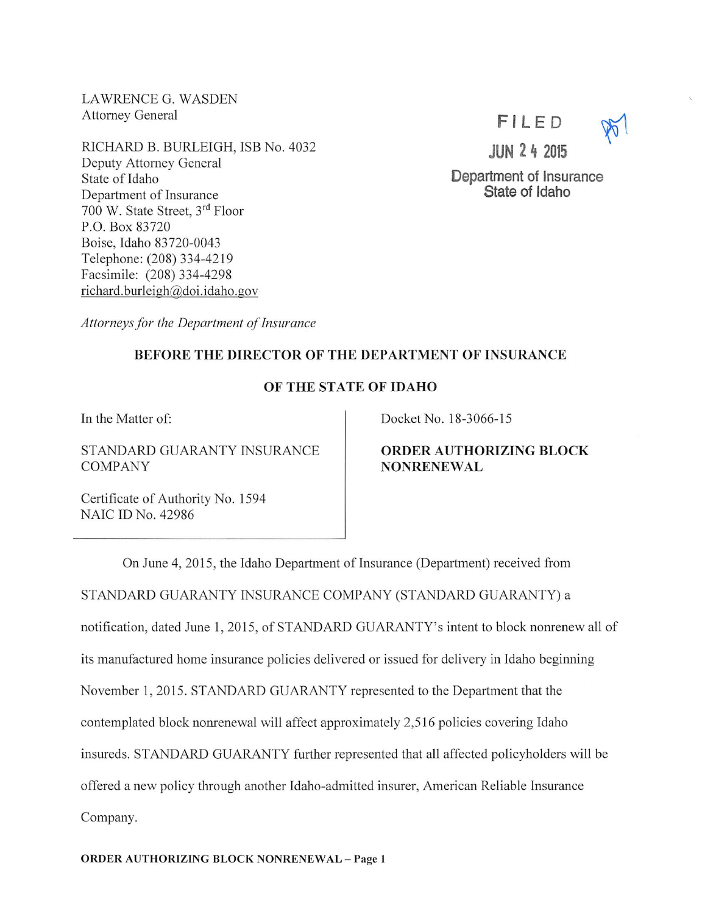LAWRENCE G. WASDEN Attorney General

RICHARD B. BURLEIGH, ISB No. 4032 Deputy Attorney General State of Idaho Department of Insurance 700 W. State Street, 3rd Floor P.O. Box 83720 Boise, Idaho 83720-0043 Telephone: (208)334-4219 Facsimile: (208) 334-4298 richard.burleigh@doi.idaho.gov

FILED

JUN 2 4 2015

Department of Insurance State of Idaho

Attorneys for the Department of Insurance

## BEFORE THE DIRECTOR OF THE DEPARTMENT OF INSURANCE

## OF THE STATE OF IDAHO

In the Matter of:

STANDARD GUARANTY INSURANCE COMPANY

Docket No. 18-3066-15

ORDER AUTHORIZING BLOCK **NONRENEWAL** 

Certificate of Authority No. 1594 NAIC ID No. 42986

On June 4, 2015, the Idaho Department of Insurance (Department) received from STANDARD GUARANTY INSURANCE COMPANY (STANDARD GUARANTY) a notification, dated June I, 2015, of STANDARD GUARANTY'S intent to block nonrenew all of its manufactured home insurance policies delivered or issued for delivery in Idaho beginning November 1, 2015. STANDARD GUARANTY represented to the Department that the contemplated block nonrenewal will affect approximately 2,516 policies covering Idaho insureds. STANDARD GUARANTY further represented that all affected policyholders will be offered a new policy through another Idaho-admitted insurer, American Reliable Insurance Company.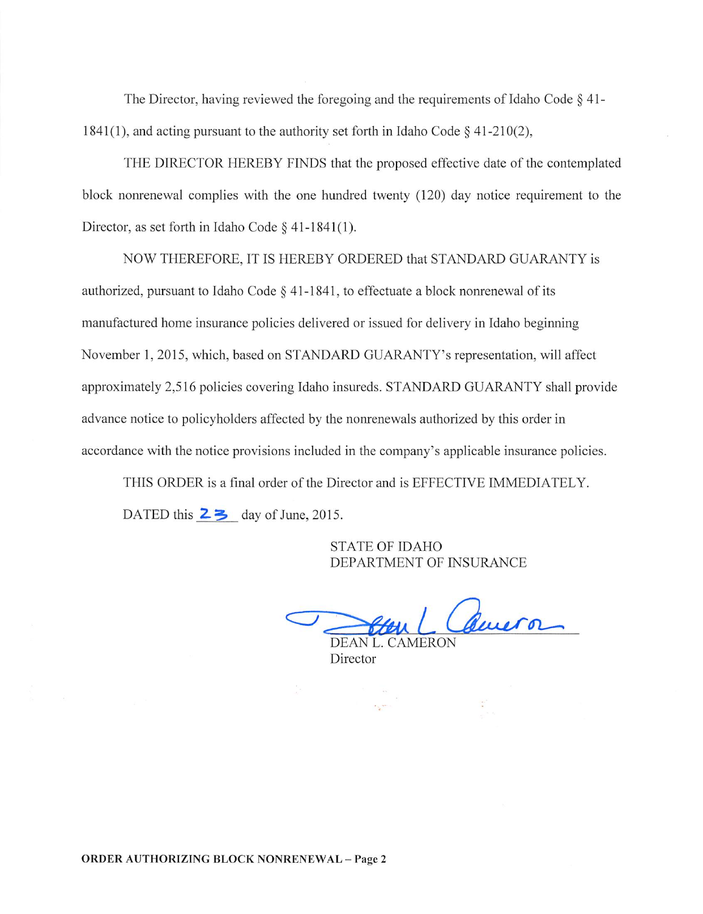The Director, having reviewed the foregoing and the requirements of Idaho Code  $\S$  41-1841(1), and acting pursuant to the authority set forth in Idaho Code § 41-210(2),

THE DIRECTOR HEREBY FINDS that the proposed effective date of the contemplated block nonrenewal complies with the one hundred twenty (120) day notice requirement to the Director, as set forth in Idaho Code § 41-1841(1).

NOW THEREFORE, IT IS HEREBY ORDERED that STANDARD GUARANTY is authorized, pursuant to Idaho Code  $\S$  41-1841, to effectuate a block nonrenewal of its manufactured home insurance policies delivered or issued for delivery in Idaho beginning November 1, 2015, which, based on STANDARD GUARANTY'S representation, will affect approximately 2,516 policies covering Idaho insureds. STANDARD GUARANTY shall provide advance notice to policyholders affected by the nonrenewals authorized by this order in accordance with the notice provisions included in the company's applicable insurance policies.

THIS ORDER is a final order of the Director and is EFFECTIVE IMMEDIATELY. DATED this  $2 \geq 2$  day of June, 2015.

> STATE OF IDAHO DEPARTMENT OF INSURANCE

( Queron DEAN L. CAMERON

Director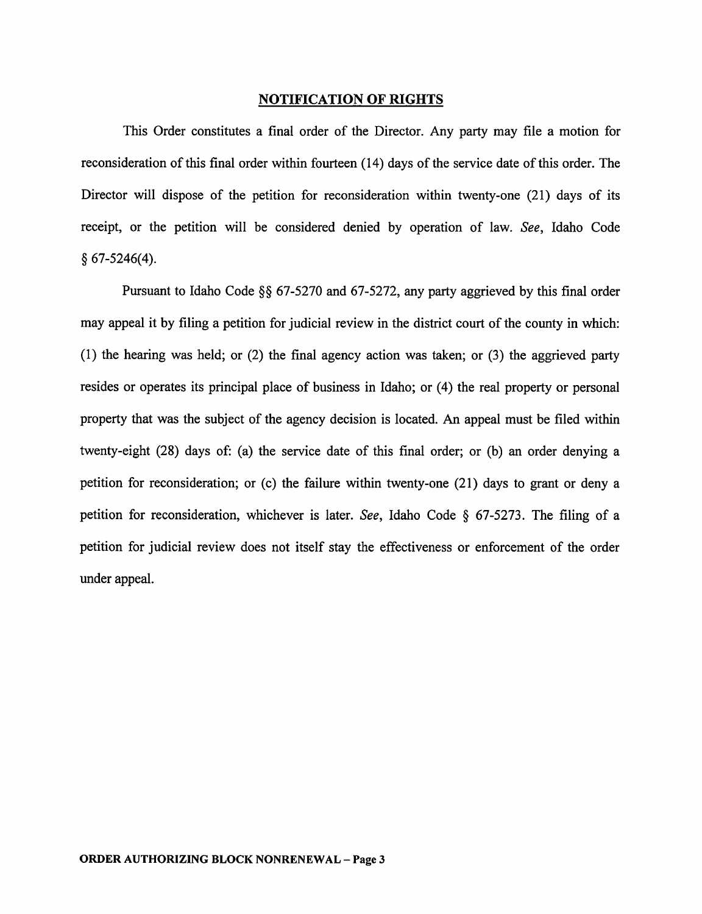## NOTIFICATION OF RIGHTS

This Order constitutes a final order of the Director. Any party may file a motion for reconsideration of this final order within fourteen  $(14)$  days of the service date of this order. The Director will dispose of the petition for reconsideration within twenty-one (21) days of its receipt, or the petition will be considered denied by operation of law. See, Idaho Code § 67-5246(4).

Pursuant to Idaho Code §§ 67-5270 and 67-5272, any party aggrieved by this final order may appeal it by filing a petition for judicial review in the district court of the county in which: (1) the hearing was held; or (2) the final agency action was taken; or (3) the aggrieved party resides or operates its principal place of business in Idaho; or (4) the real property or personal property that was the subject of the agency decision is located. An appeal must be filed within twenty-eight (28) days of: (a) the service date of this final order; or (b) an order denying a petition for reconsideration; or (c) the failure within twenty-one (21) days to grant or deny a petition for reconsideration, whichever is later. See, Idaho Code § 67-5273. The filing of a petition for judicial review does not itself stay the effectiveness or enforcement of the order under appeal.